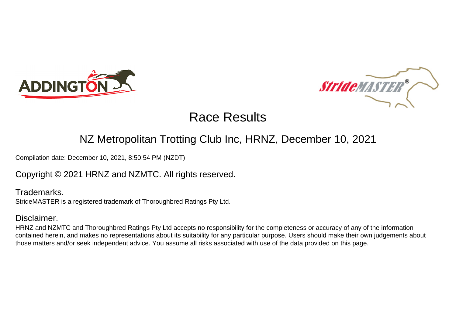



### NZ Metropolitan Trotting Club Inc, HRNZ, December 10, 2021

Compilation date: December 10, 2021, 8:50:54 PM (NZDT)

### Copyright © 2021 HRNZ and NZMTC. All rights reserved.

Trademarks. StrideMASTER is a registered trademark of Thoroughbred Ratings Pty Ltd.

### Disclaimer.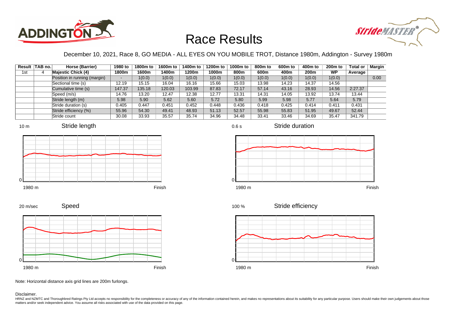



December 10, 2021, Race 8, GO MEDIA - ALL EYES ON YOU MOBILE TROT, Distance 1980m, Addington - Survey 1980m

|     | Result TAB no. | Horse (Barrier)              | 1980 to                  | 1800m to | 1600m to | 1400m to | 1200m to | 1000m to | 800m to | 600 <sub>m</sub> to | 400m to | 200 <sub>m</sub> to | <b>Total or</b> | Margin |
|-----|----------------|------------------------------|--------------------------|----------|----------|----------|----------|----------|---------|---------------------|---------|---------------------|-----------------|--------|
| 1st |                | <b>Majestic Chick (4)</b>    | 1800m                    | 1600m    | 1400m    | 1200m    | 1000m    | 800m     | 600m    | 400m                | 200m    | <b>WP</b>           | Average         |        |
|     |                | Position in running (margin) | $\overline{\phantom{a}}$ | 1(0.0)   | 1(0.0)   | 1(0.0)   | 1(0.0)   | 1(0.0)   | 1(0.0)  | 1(0.0)              | 1(0.0)  | 1(0.0)              |                 | 0.00   |
|     |                | Sectional time (s)           | 12.19                    | 15.15    | 16.04    | 16.16    | 15.66    | 15.03    | 13.98   | 14.23               | 14.37   | 14.56               |                 |        |
|     |                | Cumulative time (s)          | 147.37                   | 135.18   | 120.03   | 103.99   | 87.83    | 72.17    | 57.14   | 43.16               | 28.93   | 14.56               | 2:27.37         |        |
|     |                | Speed (m/s)                  | 14.76                    | 13.20    | 12.47    | 12.38    | 12.77    | 13.31    | 14.31   | 14.05               | 13.92   | 13.74               | 13.44           |        |
|     |                | Stride length (m)            | 5.98                     | 5.90     | 5.62     | 5.60     | 5.72     | 5.80     | 5.99    | 5.98                | 5.77    | 5.64                | 5.79            |        |
|     |                | Stride duration (s)          | 0.405                    | 0.447    | 0.451    | 0.452    | 0.448    | 0.436    | 0.418   | 0.425               | 0.414   | 0.411               | 0.431           |        |
|     |                | Stride efficiency (%)        | 55.96                    | 54.30    | 49.41    | 48.93    | 51.13    | 52.57    | 55.98   | 55.83               | 51.95   | 49.67               | 52.44           |        |
|     |                | Stride count                 | 30.08                    | 33.93    | 35.57    | 35.74    | 34.96    | 34.48    | 33.41   | 33.46               | 34.69   | 35.47               | 341.79          |        |













Stride efficiency 100 %



Speed 20 m/sec



Note: Horizontal distance axis grid lines are 200m furlongs.

Disclaimer.

HRNZ and NZMTC and Thoroughbred Ratings Pty Ltd accepts no responsibility for the completeness or accuracy of any of the information contained herein, and makes no representations about its suitability for any particular p matters and/or seek independent advice. You assume all risks associated with use of the data provided on this page.

0.6 s

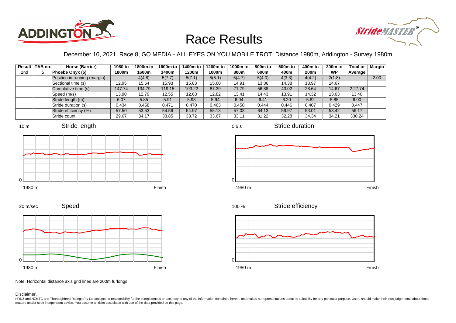



December 10, 2021, Race 8, GO MEDIA - ALL EYES ON YOU MOBILE TROT, Distance 1980m, Addington - Survey 1980m

|                 | Result TAB no. | Horse (Barrier)              | 1980 to                  | 1800m to | 1600m to | 1400m to | 1200m to | 1000m to | 800m to | 600 <sub>m</sub> to | 400m to | 200 <sub>m</sub> to | <b>Total or</b> | <b>Margin</b> |
|-----------------|----------------|------------------------------|--------------------------|----------|----------|----------|----------|----------|---------|---------------------|---------|---------------------|-----------------|---------------|
| 2 <sub>nd</sub> |                | Phoebe Onyx (5)              | 1800m                    | 1600m    | 1400m    | 1200m    | 1000m    | 800m     | 600m    | 400m                | 200m    | <b>WP</b>           | Average         |               |
|                 |                | Position in running (margin) | $\overline{\phantom{0}}$ | 4(4.8)   | 5(7.7)   | 5(7.1)   | 5(5.1)   | 5(4.7)   | 5(4.0)  | 4(3.3)              | 4(4.2)  | 2(1.8)              |                 | 2.00          |
|                 |                | Sectional time (s)           | 12.95                    | 15.64    | 15.93    | 15.83    | 15.60    | 14.91    | 13.86   | 14.38               | 13.97   | 14.67               |                 |               |
|                 |                | Cumulative time (s)          | 147.74                   | 134.79   | 119.15   | 103.22   | 87.39    | 71.79    | 56.88   | 43.02               | 28.64   | 14.67               | 2:27.74         |               |
|                 |                | Speed (m/s)                  | 13.90                    | 12.79    | 12.55    | 12.63    | 12.82    | 13.41    | 14.43   | 13.91               | 14.32   | 13.63               | 13.40           |               |
|                 |                | Stride length (m)            | 6.07                     | 5.85     | 5.91     | 5.93     | 5.94     | 6.04     | 6.41    | 6.20                | 5.82    | 5.85                | 6.00            |               |
|                 |                | Stride duration (s)          | 0.434                    | 0.458    | 0.471    | 0.470    | 0.463    | 0.450    | 0.444   | 0.446               | 0.407   | 0.429               | 0.447           |               |
|                 |                | Stride efficiency (%)        | 57.50                    | 53.53    | 54.56    | 54.97    | 55.13    | 57.03    | 64.13   | 59.97               | 53.01   | 53.42               | 56.17           |               |
|                 |                | Stride count                 | 29.67                    | 34.17    | 33.85    | 33.72    | 33.67    | 33.11    | 31.22   | 32.28               | 34.34   | 34.21               | 330.24          |               |







0.6 s



Stride duration







Stride efficiency 100 %



Speed 20 m/sec



Note: Horizontal distance axis grid lines are 200m furlongs.

Disclaimer.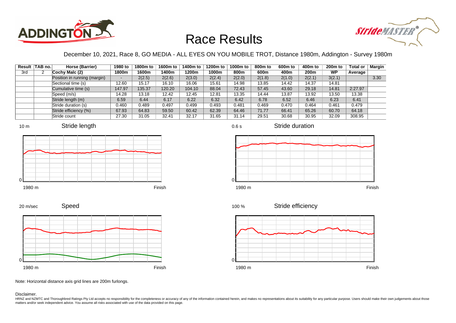



December 10, 2021, Race 8, GO MEDIA - ALL EYES ON YOU MOBILE TROT, Distance 1980m, Addington - Survey 1980m

|     | Result   TAB no. | Horse (Barrier)              | 1980 to | 1800m to | 1600m to | 1400m to | 1200m to | 1000m to | 800m to | 600 <sub>m</sub> to | 400m to | 200 <sub>m</sub> to | <b>Total or</b> | Margin |
|-----|------------------|------------------------------|---------|----------|----------|----------|----------|----------|---------|---------------------|---------|---------------------|-----------------|--------|
| 3rd |                  | Cochy Malc (2)               | 1800m   | 1600m    | 1400m    | 1200m    | 1000m    | 800m     | 600m    | 400m                | 200m    | <b>WP</b>           | Average         |        |
|     |                  | Position in running (margin) |         | 2(2.5)   | 2(2.6)   | 2(3.0)   | 2(2.4)   | 2(2.0)   | 2(1.8)  | 2(1.0)              | 2(2.1)  | 3(2.1)              |                 | 3.30   |
|     |                  | Sectional time (s)           | 12.60   | 15.17    | 16.10    | 16.06    | 15.61    | 14.98    | 13.85   | 14.42               | 14.37   | 14.81               |                 |        |
|     |                  | Cumulative time (s)          | 147.97  | 135.37   | 120.20   | 104.10   | 88.04    | 72.43    | 57.45   | 43.60               | 29.18   | 14.81               | 2:27.97         |        |
|     |                  | Speed (m/s)                  | 14.28   | 13.18    | 12.42    | 12.45    | 12.81    | 13.35    | 14.44   | 13.87               | 13.92   | 13.50               | 13.38           |        |
|     |                  | Stride length (m)            | 6.59    | 6.44     | 6.17     | 6.22     | 6.32     | 6.42     | 6.78    | 6.52                | 6.46    | 6.23                | 6.41            |        |
|     |                  | Stride duration (s)          | 0.460   | 0.489    | 0.497    | 0.499    | 0.493    | 0.481    | 0.469   | 0.470               | 0.464   | 0.461               | 0.479           |        |
|     |                  | Stride efficiency (%)        | 67.93   | 64.83    | 59.50    | 60.42    | 62.39    | 64.46    | 71.77   | 66.41               | 65.26   | 60.70               | 64.18           |        |
|     |                  | Stride count                 | 27.30   | 31.05    | 32.41    | 32.17    | 31.65    | 31.14    | 29.51   | 30.68               | 30.95   | 32.09               | 308.95          |        |











Stride duration



Speed 20 m/sec



Note: Horizontal distance axis grid lines are 200m furlongs.

Disclaimer.

HRNZ and NZMTC and Thoroughbred Ratings Pty Ltd accepts no responsibility for the completeness or accuracy of any of the information contained herein, and makes no representations about its suitability for any particular p matters and/or seek independent advice. You assume all risks associated with use of the data provided on this page.

0.6 s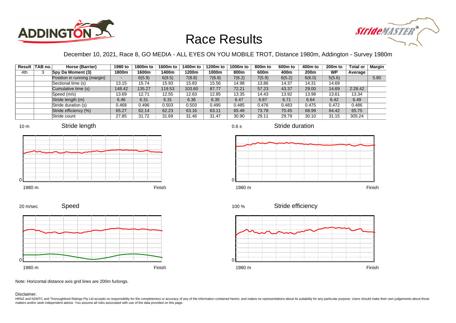



December 10, 2021, Race 8, GO MEDIA - ALL EYES ON YOU MOBILE TROT, Distance 1980m, Addington - Survey 1980m

0.6 s

|     | Result TAB no. | Horse (Barrier)              | 1980 to | 1800m to | 1600m to | 1400m to | 1200m to | 1000m to | 800m to | 600 <sub>m</sub> to | 400m to | 200 <sub>m</sub> to | <b>Total or</b> | Margin |
|-----|----------------|------------------------------|---------|----------|----------|----------|----------|----------|---------|---------------------|---------|---------------------|-----------------|--------|
| 4th |                | Spy Da Moment (3)            | 1800m   | 1600m    | 1400m    | 1200m    | 1000m    | 800m     | 600m    | 400m                | 200m    | <b>WP</b>           | Average         |        |
|     |                | Position in running (margin) |         | 6(5.9)   | 6(9.5)   | 7(8.8)   | 7(6.8)   | 7(6.2)   | 7(5.9)  | 6(5.2)              | 6(6.0)  | 5(5.6)              |                 | 5.80   |
|     |                | Sectional time (s)           | 13.15   | 15.74    | 15.93    | 15.83    | 15.56    | 14.98    | 13.86   | 14.37               | 14.31   | 14.69               |                 |        |
|     |                | Cumulative time (s)          | 148.42  | 135.27   | 119.53   | 103.60   | 87.77    | 72.21    | 57.23   | 43.37               | 29.00   | 14.69               | 2:28.42         |        |
|     |                | Speed (m/s)                  | 13.69   | 12.71    | 12.55    | 12.63    | 12.85    | 13.35    | 14.43   | 13.92               | 13.98   | 13.61               | 13.34           |        |
|     |                | Stride length (m)            | 6.46    | 6.31     | 6.31     | 6.36     | 6.35     | 6.47     | 6.87    | 6.71                | 6.64    | 6.42                | 6.49            |        |
|     |                | Stride duration (s)          | 0.468   | 0.496    | 0.503    | 0.503    | 0.495    | 0.485    | 0.476   | 0.483               | 0.475   | 0.472               | 0.486           |        |
|     |                | Stride efficiency (%)        | 65.27   | 62.14    | 62.23    | 63.16    | 63.11    | 65.46    | 73.78   | 70.45               | 68.99   | 64.42               | 65.75           |        |
|     |                | Stride count                 | 27.85   | 31.72    | 31.69    | 31.46    | 31.47    | 30.90    | 29.11   | 29.79               | 30.10   | 31.15               | 305.24          |        |







Stride duration





Speed



Stride efficiency 100 %



Note: Horizontal distance axis grid lines are 200m furlongs.

#### Disclaimer.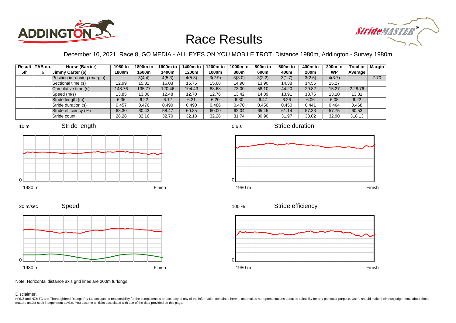



December 10, 2021, Race 8, GO MEDIA - ALL EYES ON YOU MOBILE TROT, Distance 1980m, Addington - Survey 1980m

|     | Result TAB no. | Horse (Barrier)              | 1980 to | 1800m to | 1600m to | 1400m to | 1200m to | 1000m to | 800m to | 600 <sub>m</sub> to | 400m to | 200 <sub>m</sub> to | <b>Total or</b> | Margin |
|-----|----------------|------------------------------|---------|----------|----------|----------|----------|----------|---------|---------------------|---------|---------------------|-----------------|--------|
| 5th | 6              | Jimmy Carter (6)             | 1800m   | 1600m    | 1400m    | 1200m    | 1000m    | 800m     | 600m    | 400m                | 200m    | <b>WP</b>           | Average         |        |
|     |                | Position in running (margin) |         | 3(4.4)   | 4(5.3)   | 4(5.3)   | 3(2.9)   | 3(3.0)   | 3(2.2)  | 3(1.7)              | 3(2.6)  | 4(3.7)              |                 | 7.70   |
|     |                | Sectional time (s)           | 12.99   | 15.31    | 16.03    | 15.75    | 15.68    | 14.90    | 13.90   | 14.38               | 14.55   | 15.27               |                 |        |
|     |                | Cumulative time (s)          | 148.76  | 35.77    | 120.46   | 104.43   | 88.68    | 73.00    | 58.10   | 44.20               | 29.82   | 15.27               | 2:28.76         |        |
|     |                | Speed (m/s)                  | 13.85   | 13.06    | 12.48    | 12.70    | 12.76    | 13.42    | 14.39   | 13.91               | 13.75   | 13.10               | 13.31           |        |
|     |                | Stride length (m)            | 6.36    | 6.22     | 6.12     | 6.21     | 6.20     | 6.30     | 6.47    | 6.26                | 6.06    | 6.08                | 6.22            |        |
|     |                | Stride duration (s)          | 0.457   | 0.476    | 0.490    | 0.490    | 0.486    | 0.470    | 0.450   | 0.450               | 0.441   | 0.464               | 0.468           |        |
|     |                | Stride efficiency (%)        | 63.30   | 60.43    | 58.47    | 60.35    | 60.00    | 62.04    | 65.45   | 61.14               | 57.33   | 57.75               | 60.53           |        |
|     |                | Stride count                 | 28.28   | 32.16    | 32.70    | 32.18    | 32.28    | 31.74    | 30.90   | 31.97               | 33.02   | 32.90               | 318.13          |        |













Stride duration



Stride efficiency 100 %



Note: Horizontal distance axis grid lines are 200m furlongs.

#### Disclaimer.

20 m/sec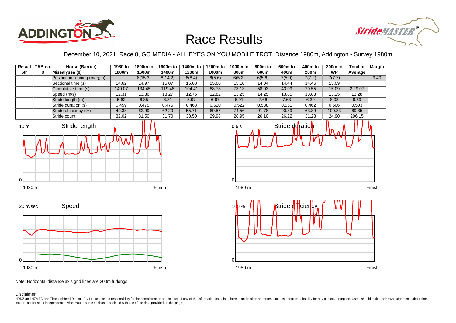



December 10, 2021, Race 8, GO MEDIA - ALL EYES ON YOU MOBILE TROT, Distance 1980m, Addington - Survey 1980m

|     | Result TAB no. | Horse (Barrier)              | 1980 to                  | 1800m to | 1600m to | 1400m to | 1200m to | 1000m to | 800 <sub>m</sub> to | 600 <sub>m</sub> to | 400m to | 200 <sub>m</sub> to | <b>Total or</b> | <b>Margin</b> |
|-----|----------------|------------------------------|--------------------------|----------|----------|----------|----------|----------|---------------------|---------------------|---------|---------------------|-----------------|---------------|
| 6th | 8              | Missalyssa (8)               | 1800m                    | 1600m    | 1400m    | 1200m    | 1000m    | 800m     | 600m                | 400m                | 200m    | <b>WP</b>           | Average         |               |
|     |                | Position in running (margin) | $\overline{\phantom{0}}$ | 8(15.3)  | 8(14.2)  | 6(8.4)   | 6(5.6)   | 6(5.2)   | 6(5.6)              | 7(5.9)              | 7(7.2)  | 7(7.7)              |                 | 9.40          |
|     |                | Sectional time (s)           | 14.62                    | 14.97    | 15.07    | 15.68    | 15.60    | 15.10    | 14.04               | 14.44               | 14.46   | 15.09               |                 |               |
|     |                | Cumulative time (s)          | 149.07                   | 134.45   | 119.48   | 104.41   | 88.73    | 73.13    | 58.03               | 43.99               | 29.55   | 15.09               | 2:29.07         |               |
|     |                | Speed (m/s)                  | 12.31                    | 13.36    | 13.27    | 12.76    | 12.82    | 13.25    | 14.25               | 13.85               | 13.83   | 13.25               | 13.28           |               |
|     |                | Stride length (m)            | 5.62                     | 6.35     | 6.31     | 5.97     | 6.67     | 6.91     | 7.66                | 7.63                | 6.39    | 8.03                | 6.69            |               |
|     |                | Stride duration (s)          | 0.459                    | 0.475    | 0.475    | 0.468    | 0.520    | 0.522    | 0.538               | 0.551               | 0.462   | 0.606               | 0.503           |               |
|     |                | Stride efficiency (%)        | 49.38                    | 62.99    | 62.20    | 55.71    | 69.57    | 74.56    | 91.78               | 90.89               | 63.89   | 100.83              | 69.85           |               |
|     |                | Stride count                 | 32.02                    | 31.50    | 31.70    | 33.50    | 29.98    | 28.95    | 26.10               | 26.22               | 31.28   | 24.90               | 296.15          |               |









Note: Horizontal distance axis grid lines are 200m furlongs.

Disclaimer.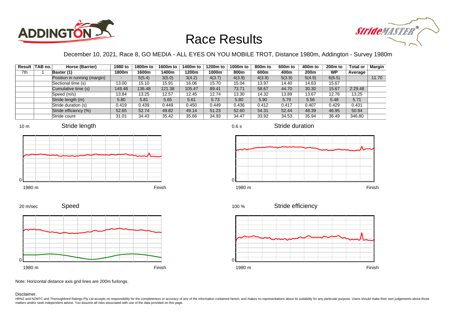



December 10, 2021, Race 8, GO MEDIA - ALL EYES ON YOU MOBILE TROT, Distance 1980m, Addington - Survey 1980m

0.6 s

|     | Result   TAB no. | Horse (Barrier)              | 1980 to | 1800m to | 1600m to | 1400m to | 1200m to | 1000m to | 800m to | 600 <sub>m</sub> to | 400m to | 200 <sub>m</sub> to | <b>Total or</b> | Margin |
|-----|------------------|------------------------------|---------|----------|----------|----------|----------|----------|---------|---------------------|---------|---------------------|-----------------|--------|
| 7th |                  | Baxter (1)                   | 1800m   | 1600m    | 1400m    | 1200m    | 1000m    | 800m     | 600m    | 400m                | 200m    | <b>WP</b>           | Average         |        |
|     |                  | Position in running (margin) |         | 5(5.4)   | 3(5.0)   | 3(4.2)   | 4(3.7)   | 4(3.9)   | 4(3.9)  | 5(3.9)              | 5(4.9)  | 6(6.5)              |                 | 11.70  |
|     |                  | Sectional time (s)           | 13.00   | 15.10    | 15.91    | 16.06    | 15.70    | 15.04    | 13.97   | 14.40               | 14.63   | 15.67               |                 |        |
|     |                  | Cumulative time (s)          | 149.48  | 136.48   | 121.38   | 105.47   | 89.41    | 73.71    | 58.67   | 44.70               | 30.30   | 15.67               | 2:29.48         |        |
|     |                  | Speed (m/s)                  | 13.84   | 13.25    | 12.57    | 12.45    | 12.74    | 13.30    | 14.32   | 13.89               | 13.67   | 12.76               | 13.25           |        |
|     |                  | Stride length (m)            | 5.80    | 5.81     | 5.65     | 5.61     | 5.73     | 5.80     | 5.90    | 5.79                | 5.56    | 5.48                | 5.71            |        |
|     |                  | Stride duration (s)          | 0.419   | 0.439    | 0.449    | 0.450    | 0.449    | 0.436    | 0.412   | 0.417               | 0.407   | 0.429               | 0.431           |        |
|     |                  | Stride efficiency (%)        | 52.65   | 52.74    | 49.82    | 49.14    | 51.23    | 52.60    | 54.31   | 52.44               | 48.39   | 46.95               | 50.94           |        |
|     |                  | Stride count                 | 31.01   | 34.43    | 35.42    | 35.66    | 34.93    | 34.47    | 33.92   | 34.53               | 35.94   | 36.49               | 346.80          |        |















Speed 20 m/sec



Note: Horizontal distance axis grid lines are 200m furlongs.

#### Disclaimer.